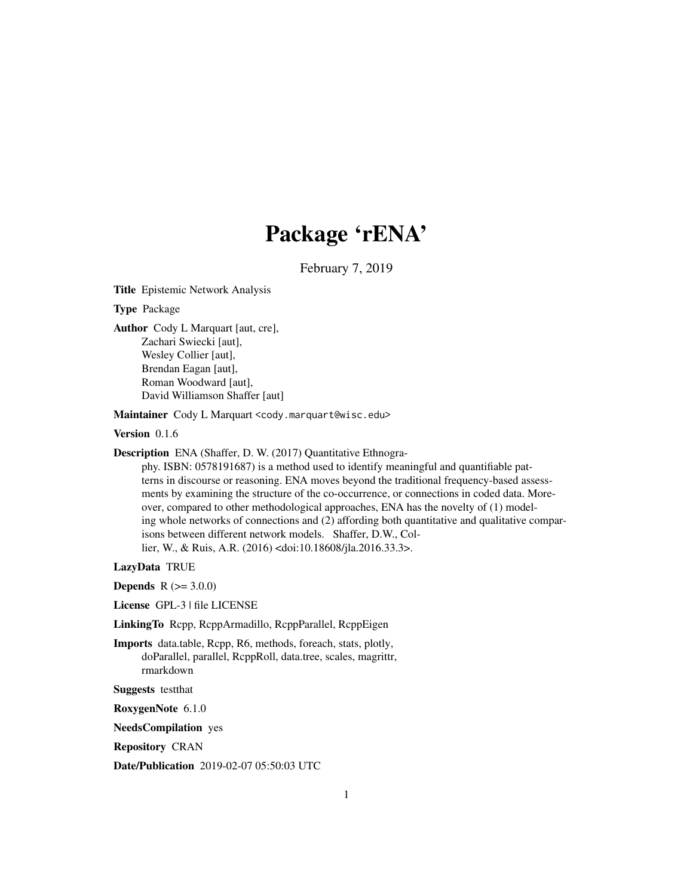# Package 'rENA'

February 7, 2019

Title Epistemic Network Analysis

Type Package

Author Cody L Marquart [aut, cre], Zachari Swiecki [aut], Wesley Collier [aut], Brendan Eagan [aut], Roman Woodward [aut], David Williamson Shaffer [aut]

Maintainer Cody L Marquart <cody.marquart@wisc.edu>

Version 0.1.6

Description ENA (Shaffer, D. W. (2017) Quantitative Ethnogra-

phy. ISBN: 0578191687) is a method used to identify meaningful and quantifiable patterns in discourse or reasoning. ENA moves beyond the traditional frequency-based assessments by examining the structure of the co-occurrence, or connections in coded data. Moreover, compared to other methodological approaches, ENA has the novelty of (1) modeling whole networks of connections and (2) affording both quantitative and qualitative comparisons between different network models. Shaffer, D.W., Collier, W., & Ruis, A.R. (2016) <doi:10.18608/jla.2016.33.3>.

LazyData TRUE

**Depends**  $R (= 3.0.0)$ 

License GPL-3 | file LICENSE

LinkingTo Rcpp, RcppArmadillo, RcppParallel, RcppEigen

Imports data.table, Rcpp, R6, methods, foreach, stats, plotly, doParallel, parallel, RcppRoll, data.tree, scales, magrittr, rmarkdown

Suggests testthat

RoxygenNote 6.1.0

NeedsCompilation yes

Repository CRAN

Date/Publication 2019-02-07 05:50:03 UTC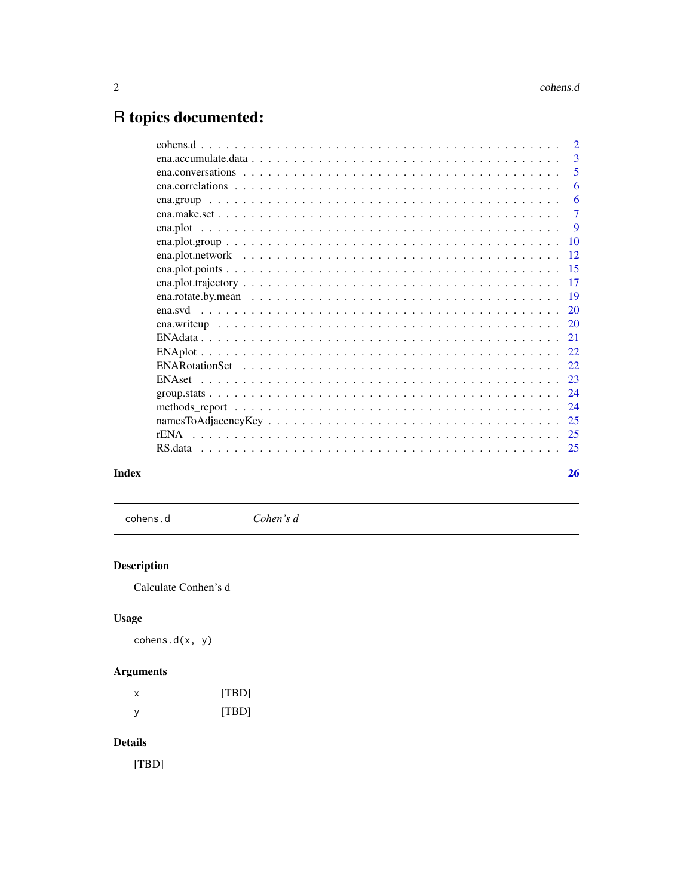## <span id="page-1-0"></span>R topics documented:

|               | $\overline{2}$ |
|---------------|----------------|
|               | 3              |
|               | 5              |
|               | 6              |
|               | 6              |
|               | $\tau$         |
| ena.plot      | <b>9</b>       |
|               | 10             |
|               | 12             |
|               | 15             |
|               | 17             |
|               | 19             |
|               | 20             |
|               |                |
|               | 20             |
|               | 21             |
|               | 22.            |
|               | 22             |
| <b>ENAset</b> | 23             |
|               | 24             |
|               | 24             |
|               | 25             |
| rENA          | 25             |
|               | 25             |
|               |                |
|               | 26             |
|               |                |

## **Index**

cohens.d

Cohen's d

## **Description**

Calculate Conhen's d

## **Usage**

 $cohens.d(x, y)$ 

## **Arguments**

| х | [TBD] |
|---|-------|
| у | [TBD] |

## **Details**

 $[TBD] % \begin{center} \includegraphics[width=\textwidth]{figures/fig_10.pdf} \end{center} % \vspace*{-1em} \caption{The first two different values of the parameter $\Omega$. The first two different values of the parameter $\Omega$. The first two different values of the parameter $\Omega$. The first two different values of the parameter $\Omega$. The first two different values of the parameter $\Omega$. The first two different values of the parameter $\Omega$. The first two different values of the parameter $\Omega$. The first two different values of the parameter $\Omega$. The first two different values of the parameter $\Omega$. The first two different values of the parameter $\Omega$. The first two different values of the parameter $\Omega$. The first two different values of the parameter $\Omega$. The first two different values of the parameter $\Omega$. The first two different values of the parameter $\Omega$. The first two different values of the parameter $\Omega$. The first two different values of the parameter $\Omega$.$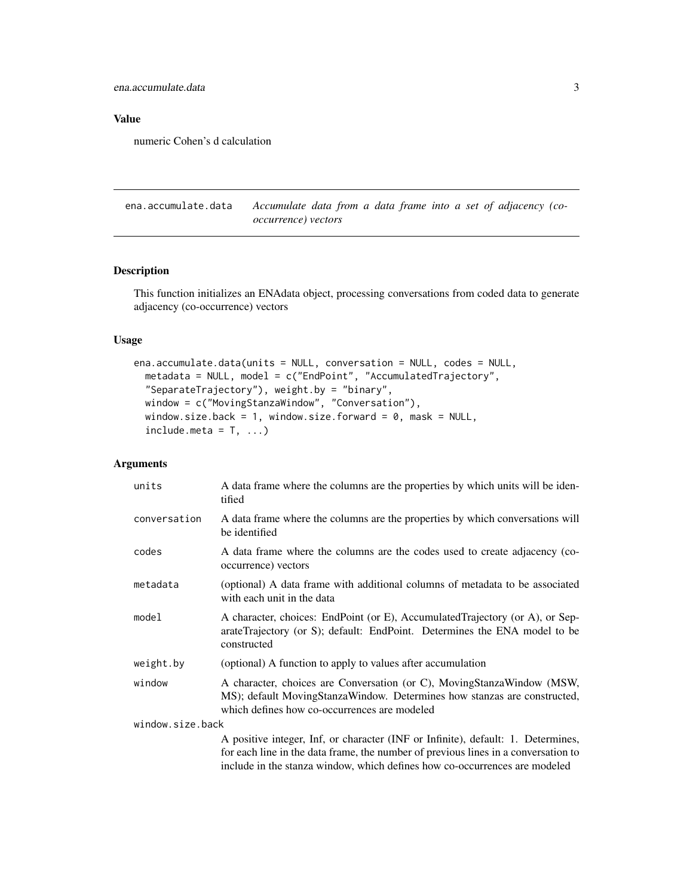<span id="page-2-0"></span>ena.accumulate.data 3

Value

numeric Cohen's d calculation

<span id="page-2-1"></span>ena.accumulate.data *Accumulate data from a data frame into a set of adjacency (cooccurrence) vectors*

### Description

This function initializes an ENAdata object, processing conversations from coded data to generate adjacency (co-occurrence) vectors

#### Usage

```
ena.accumulate.data(units = NULL, conversation = NULL, codes = NULL,
 metadata = NULL, model = c("EndPoint", "AccumulatedTrajectory",
  "SeparateTrajectory"), weight.by = "binary",
 window = c("MovingStanzaWindow", "Conversation"),
 window.size.back = 1, window.size.forward = 0, mask = NULL,
  include. meta = T, ...)
```
## Arguments

| units            | A data frame where the columns are the properties by which units will be iden-<br>tified                                                                                                           |
|------------------|----------------------------------------------------------------------------------------------------------------------------------------------------------------------------------------------------|
| conversation     | A data frame where the columns are the properties by which conversations will<br>be identified                                                                                                     |
| codes            | A data frame where the columns are the codes used to create adjacency (co-<br>occurrence) vectors                                                                                                  |
| metadata         | (optional) A data frame with additional columns of metadata to be associated<br>with each unit in the data                                                                                         |
| model            | A character, choices: EndPoint (or E), AccumulatedTrajectory (or A), or Sep-<br>arateTrajectory (or S); default: EndPoint. Determines the ENA model to be<br>constructed                           |
| weight.by        | (optional) A function to apply to values after accumulation                                                                                                                                        |
| window           | A character, choices are Conversation (or C), MovingStanzaWindow (MSW,<br>MS); default MovingStanzaWindow. Determines how stanzas are constructed,<br>which defines how co-occurrences are modeled |
| window.size.back |                                                                                                                                                                                                    |
|                  | A positive integer, Inf, or character (INF or Infinite), default: 1. Determines,                                                                                                                   |
|                  | for each line in the data frame, the number of previous lines in a conversation to                                                                                                                 |
|                  | include in the stanza window, which defines how co-occurrences are modeled                                                                                                                         |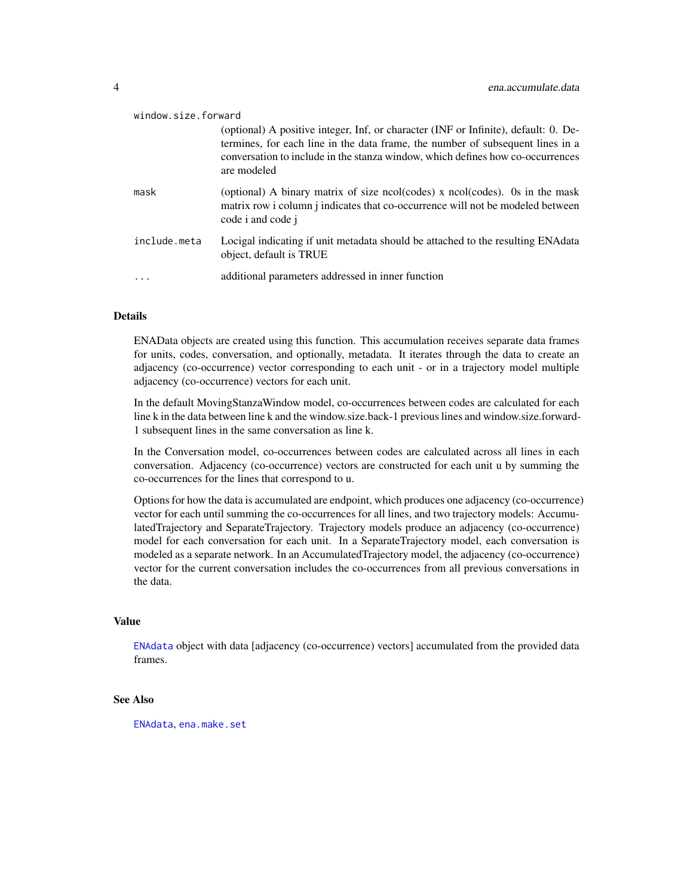<span id="page-3-0"></span>

| window.size.forward |                                                                                                                                                                                                                                                                        |
|---------------------|------------------------------------------------------------------------------------------------------------------------------------------------------------------------------------------------------------------------------------------------------------------------|
|                     | (optional) A positive integer, Inf, or character (INF or Infinite), default: 0. De-<br>termines, for each line in the data frame, the number of subsequent lines in a<br>conversation to include in the stanza window, which defines how co-occurrences<br>are modeled |
| mask                | (optional) A binary matrix of size ncol(codes) x ncol(codes). Os in the mask<br>matrix row i column j indicates that co-occurrence will not be modeled between<br>code i and code j                                                                                    |
| include.meta        | Locigal indicating if unit metadata should be attached to the resulting ENA data<br>object, default is TRUE                                                                                                                                                            |
|                     | additional parameters addressed in inner function                                                                                                                                                                                                                      |

#### Details

ENAData objects are created using this function. This accumulation receives separate data frames for units, codes, conversation, and optionally, metadata. It iterates through the data to create an adjacency (co-occurrence) vector corresponding to each unit - or in a trajectory model multiple adjacency (co-occurrence) vectors for each unit.

In the default MovingStanzaWindow model, co-occurrences between codes are calculated for each line k in the data between line k and the window.size.back-1 previous lines and window.size.forward-1 subsequent lines in the same conversation as line k.

In the Conversation model, co-occurrences between codes are calculated across all lines in each conversation. Adjacency (co-occurrence) vectors are constructed for each unit u by summing the co-occurrences for the lines that correspond to u.

Options for how the data is accumulated are endpoint, which produces one adjacency (co-occurrence) vector for each until summing the co-occurrences for all lines, and two trajectory models: AccumulatedTrajectory and SeparateTrajectory. Trajectory models produce an adjacency (co-occurrence) model for each conversation for each unit. In a SeparateTrajectory model, each conversation is modeled as a separate network. In an AccumulatedTrajectory model, the adjacency (co-occurrence) vector for the current conversation includes the co-occurrences from all previous conversations in the data.

## Value

[ENAdata](#page-20-1) object with data [adjacency (co-occurrence) vectors] accumulated from the provided data frames.

## See Also

[ENAdata](#page-20-1), [ena.make.set](#page-6-1)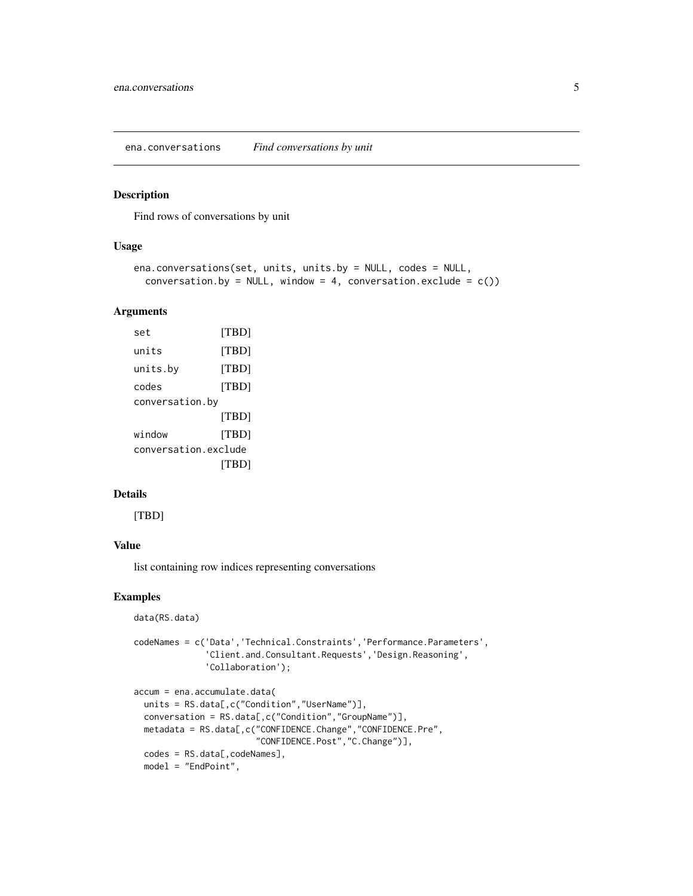<span id="page-4-0"></span>ena.conversations *Find conversations by unit*

#### Description

Find rows of conversations by unit

#### Usage

```
ena.conversations(set, units, units.by = NULL, codes = NULL,
  conversation.by = NULL, window = 4, conversation.exclude = c())
```
## Arguments

| set                  | [TBD] |
|----------------------|-------|
| units                | [TBD] |
| units.by             | [TBD] |
| codes                | [TBD] |
| conversation.by      |       |
|                      | [TBD] |
| window               | [TBD] |
| conversation.exclude |       |
|                      | ITBD1 |

## Details

[TBD]

## Value

list containing row indices representing conversations

## Examples

```
data(RS.data)
codeNames = c('Data','Technical.Constraints','Performance.Parameters',
              'Client.and.Consultant.Requests','Design.Reasoning',
              'Collaboration');
accum = ena.accumulate.data(
 units = RS.data[,c("Condition","UserName")],
 conversation = RS.data[,c("Condition","GroupName")],
 metadata = RS.data[,c("CONFIDENCE.Change","CONFIDENCE.Pre",
                        "CONFIDENCE.Post","C.Change")],
 codes = RS.data[,codeNames],
 model = "EndPoint",
```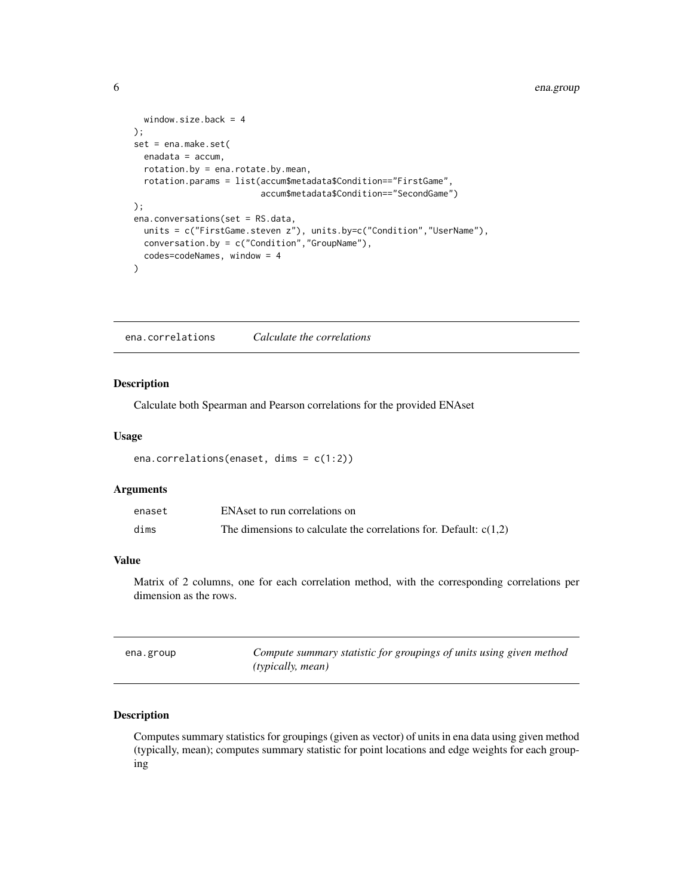```
window.size.back = 4
);
set = ena.make.set(
  enadata = accum,
  rotation.by = ena.rotate.by.mean,
  rotation.params = list(accum$metadata$Condition=="FirstGame",
                         accum$metadata$Condition=="SecondGame")
);
ena.conversations(set = RS.data,
  units = c("FirstGame.steven z"), units.by=c("Condition","UserName"),
  conversation.by = c("Condition","GroupName"),
  codes=codeNames, window = 4
\mathcal{L}
```
ena.correlations *Calculate the correlations*

#### Description

Calculate both Spearman and Pearson correlations for the provided ENAset

#### Usage

```
ena.correlations(enaset, dims = c(1:2))
```
#### Arguments

| enaset | ENAset to run correlations on                                       |
|--------|---------------------------------------------------------------------|
| dims   | The dimensions to calculate the correlations for. Default: $c(1,2)$ |

## Value

Matrix of 2 columns, one for each correlation method, with the corresponding correlations per dimension as the rows.

| ena.group | Compute summary statistic for groupings of units using given method |
|-----------|---------------------------------------------------------------------|
|           | <i>(typically, mean)</i>                                            |

## Description

Computes summary statistics for groupings (given as vector) of units in ena data using given method (typically, mean); computes summary statistic for point locations and edge weights for each grouping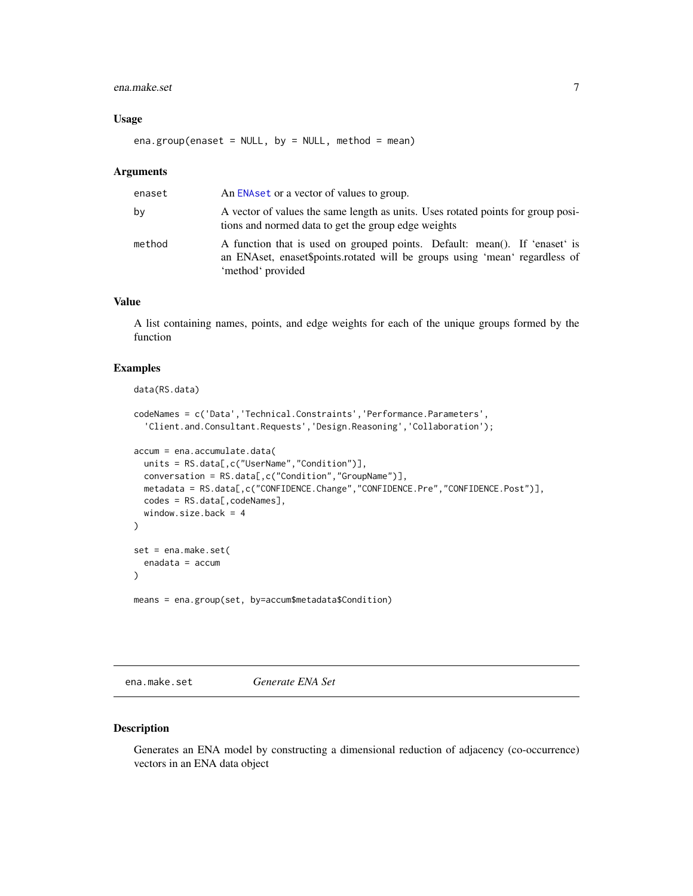#### <span id="page-6-0"></span>ena.make.set 7

#### Usage

ena.group(enaset = NULL, by = NULL, method = mean)

#### Arguments

| enaset | An ENA set or a vector of values to group.                                                                                                                                     |
|--------|--------------------------------------------------------------------------------------------------------------------------------------------------------------------------------|
| bv     | A vector of values the same length as units. Uses rotated points for group posi-<br>tions and normed data to get the group edge weights                                        |
| method | A function that is used on grouped points. Default: mean(). If 'enaset' is<br>an ENAset, enaset\$points.rotated will be groups using 'mean' regardless of<br>'method' provided |

#### Value

A list containing names, points, and edge weights for each of the unique groups formed by the function

## Examples

```
data(RS.data)
codeNames = c('Data','Technical.Constraints','Performance.Parameters',
  'Client.and.Consultant.Requests','Design.Reasoning','Collaboration');
accum = ena.accumulate.data(
  units = RS.data[,c("UserName","Condition")],
  conversation = RS.data[,c("Condition","GroupName")],
  metadata = RS.data[,c("CONFIDENCE.Change","CONFIDENCE.Pre","CONFIDENCE.Post")],
  codes = RS.data[,codeNames],
  window.size.back = 4)
set = ena.make.set(
  enadata = accum
)
means = ena.group(set, by=accum$metadata$Condition)
```
<span id="page-6-1"></span>ena.make.set *Generate ENA Set*

## Description

Generates an ENA model by constructing a dimensional reduction of adjacency (co-occurrence) vectors in an ENA data object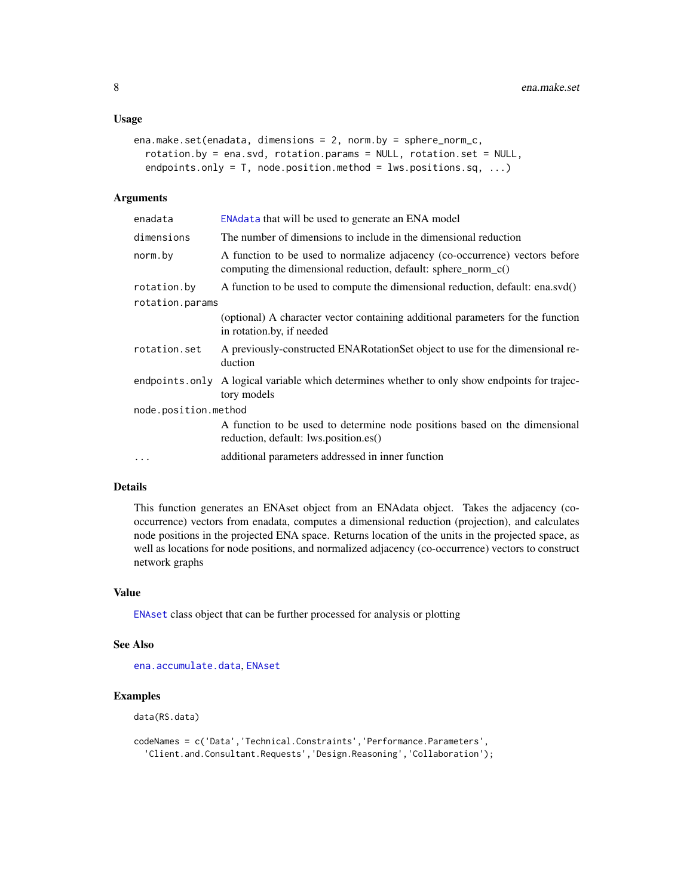#### <span id="page-7-0"></span>Usage

```
ena.make.set(enadata, dimensions = 2, norm.by = sphere_norm_c,
  rotation.by = ena.svd, rotation.params = NULL, rotation.set = NULL,
  endpoints.only = T, node.position.method = lws.positions.sq, ...)
```
#### Arguments

| ENAdata that will be used to generate an ENA model                                                                                           |
|----------------------------------------------------------------------------------------------------------------------------------------------|
| The number of dimensions to include in the dimensional reduction                                                                             |
| A function to be used to normalize adjacency (co-occurrence) vectors before<br>computing the dimensional reduction, default: sphere_norm_c() |
| A function to be used to compute the dimensional reduction, default: ena.svd()                                                               |
| rotation.params                                                                                                                              |
| (optional) A character vector containing additional parameters for the function<br>in rotation.by, if needed                                 |
| A previously-constructed ENAR otation Set object to use for the dimensional re-<br>duction                                                   |
| endpoints only A logical variable which determines whether to only show endpoints for trajec-<br>tory models                                 |
| node.position.method                                                                                                                         |
| A function to be used to determine node positions based on the dimensional<br>reduction, default: lws.position.es()                          |
| additional parameters addressed in inner function                                                                                            |
|                                                                                                                                              |

#### Details

This function generates an ENAset object from an ENAdata object. Takes the adjacency (cooccurrence) vectors from enadata, computes a dimensional reduction (projection), and calculates node positions in the projected ENA space. Returns location of the units in the projected space, as well as locations for node positions, and normalized adjacency (co-occurrence) vectors to construct network graphs

## Value

[ENAset](#page-22-1) class object that can be further processed for analysis or plotting

#### See Also

[ena.accumulate.data](#page-2-1), [ENAset](#page-22-1)

## Examples

data(RS.data)

codeNames = c('Data','Technical.Constraints','Performance.Parameters', 'Client.and.Consultant.Requests','Design.Reasoning','Collaboration');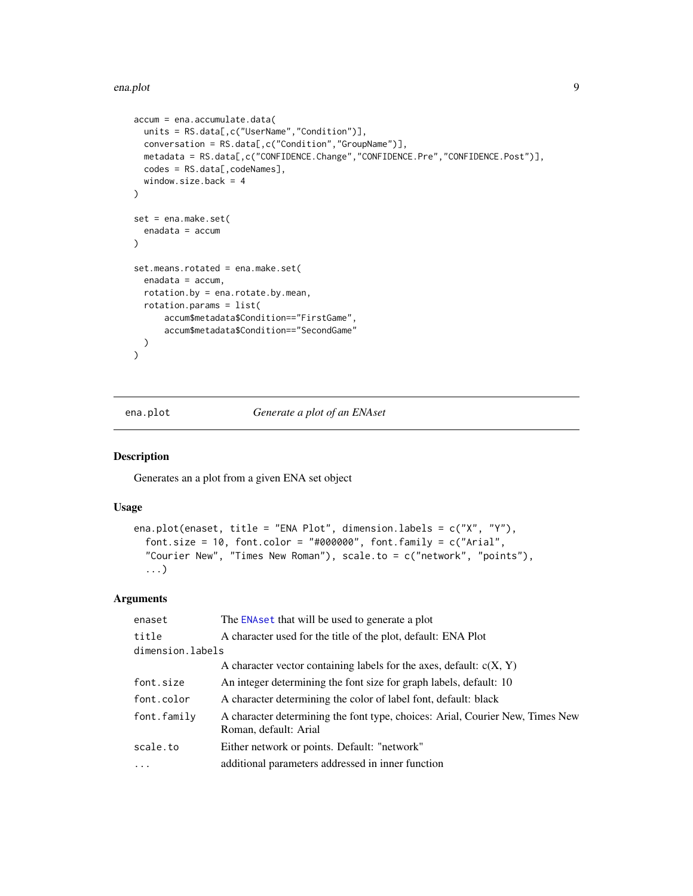```
accum = ena.accumulate.data(
 units = RS.data[,c("UserName","Condition")],
  conversation = RS.data[,c("Condition","GroupName")],
 metadata = RS.data[,c("CONFIDENCE.Change","CONFIDENCE.Pre","CONFIDENCE.Post")],
  codes = RS.data[,codeNames],
  window.size.back = 4
\mathcal{L}set = ena.make.set(
  enadata = accum
)
set.means.rotated = ena.make.set(
  enadata = accum,
  rotation.by = ena.rotate.by.mean,
  rotation.params = list(
      accum$metadata$Condition=="FirstGame",
      accum$metadata$Condition=="SecondGame"
  \mathcal{L}\mathcal{L}
```
<span id="page-8-1"></span>ena.plot *Generate a plot of an ENAset*

#### Description

Generates an a plot from a given ENA set object

#### Usage

```
ena.plot(enaset, title = "ENA Plot", dimension.labels = c("X", "Y"),
  font.size = 10, font.color = "#000000", font.family = c("Arial","Courier New", "Times New Roman"), scale.to = c("network", "points"),
  ...)
```
#### Arguments

| The ENA set that will be used to generate a plot                                                       |
|--------------------------------------------------------------------------------------------------------|
| A character used for the title of the plot, default: ENA Plot                                          |
| dimension.labels                                                                                       |
| A character vector containing labels for the axes, default: $c(X, Y)$                                  |
| An integer determining the font size for graph labels, default: 10                                     |
| A character determining the color of label font, default: black                                        |
| A character determining the font type, choices: Arial, Courier New, Times New<br>Roman, default: Arial |
| Either network or points. Default: "network"                                                           |
| additional parameters addressed in inner function                                                      |
|                                                                                                        |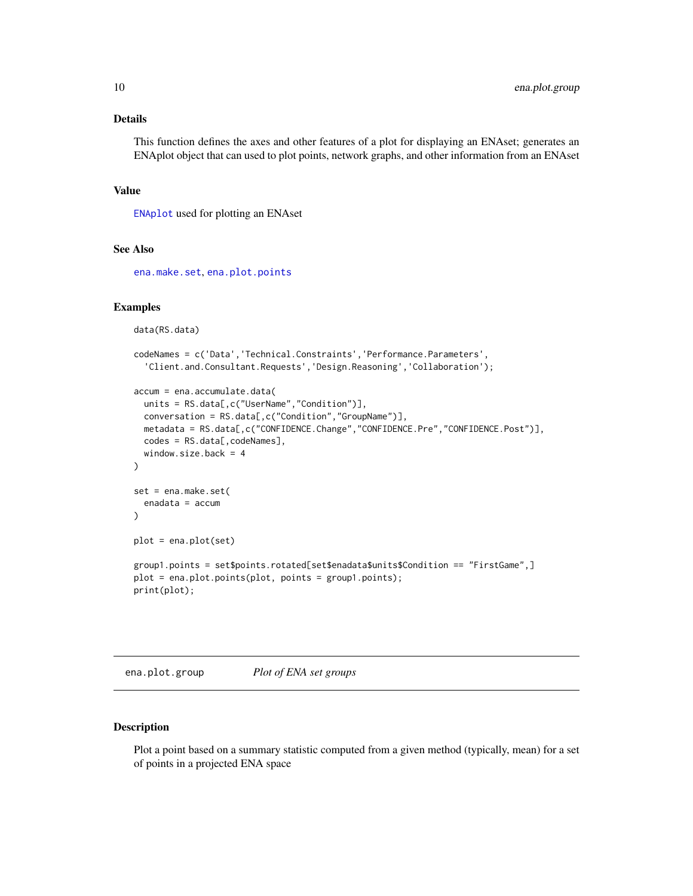#### <span id="page-9-0"></span>Details

This function defines the axes and other features of a plot for displaying an ENAset; generates an ENAplot object that can used to plot points, network graphs, and other information from an ENAset

#### Value

[ENAplot](#page-21-1) used for plotting an ENAset

## See Also

[ena.make.set](#page-6-1), [ena.plot.points](#page-14-1)

#### Examples

data(RS.data)

```
codeNames = c('Data','Technical.Constraints','Performance.Parameters',
  'Client.and.Consultant.Requests','Design.Reasoning','Collaboration');
accum = ena.accumulate.data(
 units = RS.data[,c("UserName","Condition")],
 conversation = RS.data[,c("Condition","GroupName")],
 metadata = RS.data[,c("CONFIDENCE.Change","CONFIDENCE.Pre","CONFIDENCE.Post")],
 codes = RS.data[,codeNames],
 window.size.back = 4
\mathcal{E}set = ena.make.set(
 enadata = accum
\lambdaplot = ena.plot(set)
group1.points = set$points.rotated[set$enadata$units$Condition == "FirstGame",]
plot = ena.plot.points(plot, points = group1.points);
print(plot);
```
<span id="page-9-1"></span>ena.plot.group *Plot of ENA set groups*

## Description

Plot a point based on a summary statistic computed from a given method (typically, mean) for a set of points in a projected ENA space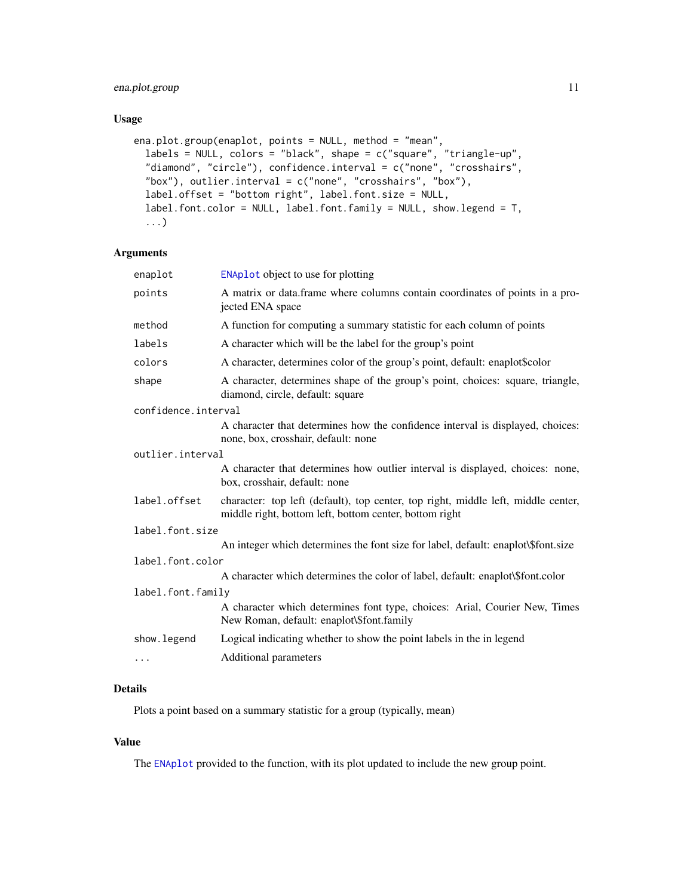## <span id="page-10-0"></span>ena.plot.group 11

## Usage

```
ena.plot.group(enaplot, points = NULL, method = "mean",
  labels = NULL, colors = "black", shape = c("square", "triangle-up",
  "diamond", "circle"), confidence.interval = c("none", "crosshairs",
  "box"), outlier.interval = c("none", "crosshairs", "box"),
  label.offset = "bottom right", label.font.size = NULL,
  label.font.color = NULL, label.font.family = NULL, show.legend = T,
  ...)
```
#### Arguments

| <b>ENAplot</b> object to use for plotting                                                                                                   |
|---------------------------------------------------------------------------------------------------------------------------------------------|
| A matrix or data.frame where columns contain coordinates of points in a pro-<br>jected ENA space                                            |
| A function for computing a summary statistic for each column of points                                                                      |
| A character which will be the label for the group's point                                                                                   |
| A character, determines color of the group's point, default: enaplot\$color                                                                 |
| A character, determines shape of the group's point, choices: square, triangle,<br>diamond, circle, default: square                          |
| confidence.interval                                                                                                                         |
| A character that determines how the confidence interval is displayed, choices:<br>none, box, crosshair, default: none                       |
| outlier.interval                                                                                                                            |
| A character that determines how outlier interval is displayed, choices: none,<br>box, crosshair, default: none                              |
| character: top left (default), top center, top right, middle left, middle center,<br>middle right, bottom left, bottom center, bottom right |
| label.font.size                                                                                                                             |
| An integer which determines the font size for label, default: enaplot\\$font.size                                                           |
| label.font.color                                                                                                                            |
| A character which determines the color of label, default: enaplot\\$font.color                                                              |
| label.font.family                                                                                                                           |
| A character which determines font type, choices: Arial, Courier New, Times<br>New Roman, default: enaplot\\$font.family                     |
| Logical indicating whether to show the point labels in the in legend                                                                        |
| Additional parameters                                                                                                                       |
|                                                                                                                                             |

## Details

Plots a point based on a summary statistic for a group (typically, mean)

## Value

The [ENAplot](#page-21-1) provided to the function, with its plot updated to include the new group point.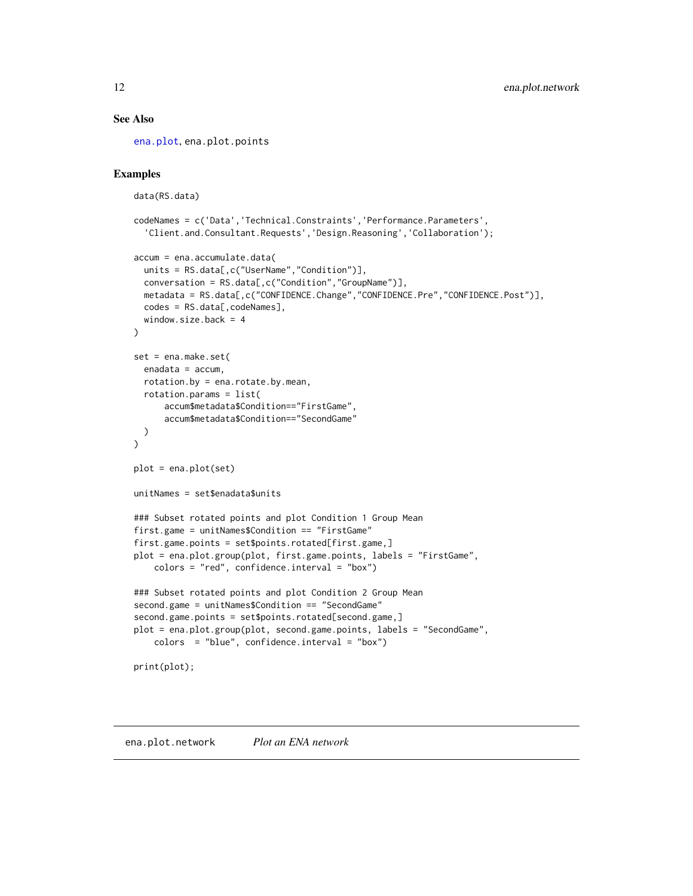#### See Also

[ena.plot](#page-8-1), ena.plot.points

## Examples

```
data(RS.data)
codeNames = c('Data','Technical.Constraints','Performance.Parameters',
  'Client.and.Consultant.Requests','Design.Reasoning','Collaboration');
accum = ena.accumulate.data(
 units = RS.data[,c("UserName","Condition")],
 conversation = RS.data[,c("Condition","GroupName")],
 metadata = RS.data[,c("CONFIDENCE.Change","CONFIDENCE.Pre","CONFIDENCE.Post")],
 codes = RS.data[,codeNames],
 window.size.back = 4
)
set = ena.make.set(
 enadata = accum,rotation.by = ena.rotate.by.mean,
 rotation.params = list(
     accum$metadata$Condition=="FirstGame",
     accum$metadata$Condition=="SecondGame"
 )
\mathcal{L}plot = ena.plot(set)
unitNames = set$enadata$units
### Subset rotated points and plot Condition 1 Group Mean
first.game = unitNames$Condition == "FirstGame"
first.game.points = set$points.rotated[first.game,]
plot = ena.plot.group(plot, first.game.points, labels = "FirstGame",
    colors = "red", confidence.interval = "box")
### Subset rotated points and plot Condition 2 Group Mean
second.game = unitNames$Condition == "SecondGame"
second.game.points = set$points.rotated[second.game,]
plot = ena.plot.group(plot, second.game.points, labels = "SecondGame",
    colors = "blue", confidence.interval = "box")
print(plot);
```
ena.plot.network *Plot an ENA network*

<span id="page-11-0"></span>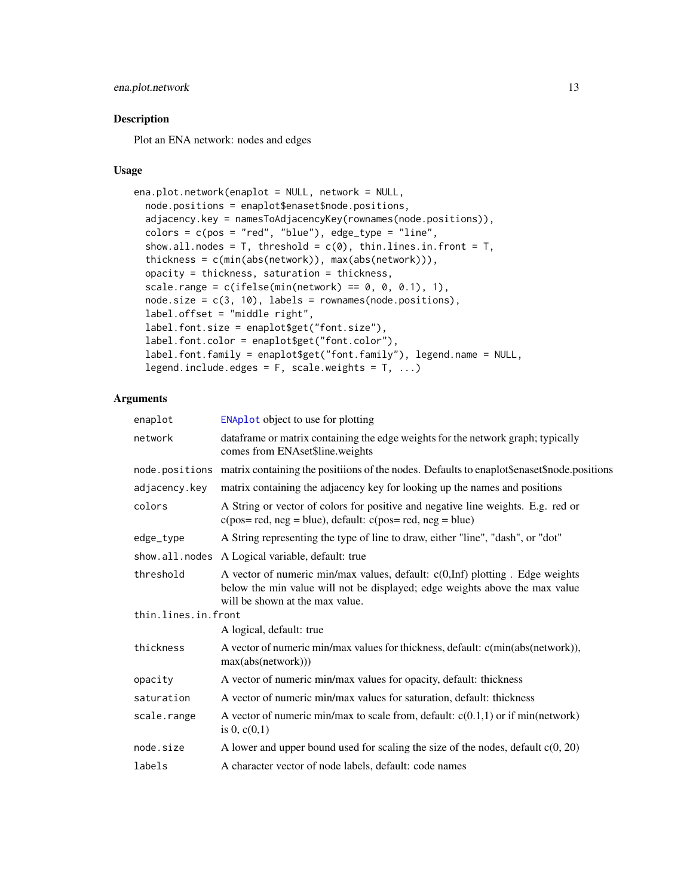## <span id="page-12-0"></span>ena.plot.network 13

## Description

Plot an ENA network: nodes and edges

#### Usage

```
ena.plot.network(enaplot = NULL, network = NULL,
 node.positions = enaplot$enaset$node.positions,
  adjacency.key = namesToAdjacencyKey(rownames(node.positions)),
 colors = c(pos = "red", "blue"), edge_type = "line",show.all.nodes = T, threshold = c(0), thin.lines.in.front = T,
  thickness = c(min(abs(network)), max(abs(network))),
  opacity = thickness, saturation = thickness,
  scale.range = c(ifelse(min(network) == 0, 0, 0.1), 1),node.size = c(3, 10), labels = rownames(node.positions),
  label.offset = "middle right",
  label.font.size = enaplot$get("font.size"),
  label.font.color = enaplot$get("font.color"),
  label.font.family = enaplot$get("font.family"), legend.name = NULL,
  legend.include.edges = F, scale.weights = T, ...)
```
## Arguments

| enaplot             | <b>ENAplot</b> object to use for plotting                                                                                                                                                      |
|---------------------|------------------------------------------------------------------------------------------------------------------------------------------------------------------------------------------------|
| network             | dataframe or matrix containing the edge weights for the network graph; typically<br>comes from ENAset\$line.weights                                                                            |
|                     | node positions matrix containing the positions of the nodes. Defaults to enaplot\$enaset\$node.positions                                                                                       |
| adjacency.key       | matrix containing the adjacency key for looking up the names and positions                                                                                                                     |
| colors              | A String or vector of colors for positive and negative line weights. E.g. red or<br>$c(pos = red, neg = blue)$ , default: $c(pos = red, neg = blue)$                                           |
| edge_type           | A String representing the type of line to draw, either "line", "dash", or "dot"                                                                                                                |
|                     | show.all.nodes A Logical variable, default: true                                                                                                                                               |
| threshold           | A vector of numeric min/max values, default: c(0,Inf) plotting. Edge weights<br>below the min value will not be displayed; edge weights above the max value<br>will be shown at the max value. |
| thin.lines.in.front |                                                                                                                                                                                                |
|                     | A logical, default: true                                                                                                                                                                       |
| thickness           | A vector of numeric min/max values for thickness, default: c(min(abs(network)),<br>max(abs(network)))                                                                                          |
| opacity             | A vector of numeric min/max values for opacity, default: thickness                                                                                                                             |
| saturation          | A vector of numeric min/max values for saturation, default: thickness                                                                                                                          |
| scale.range         | A vector of numeric min/max to scale from, default: $c(0.1,1)$ or if min(network)<br>is 0, $c(0,1)$                                                                                            |
| node.size           | A lower and upper bound used for scaling the size of the nodes, default $c(0, 20)$                                                                                                             |
| labels              | A character vector of node labels, default: code names                                                                                                                                         |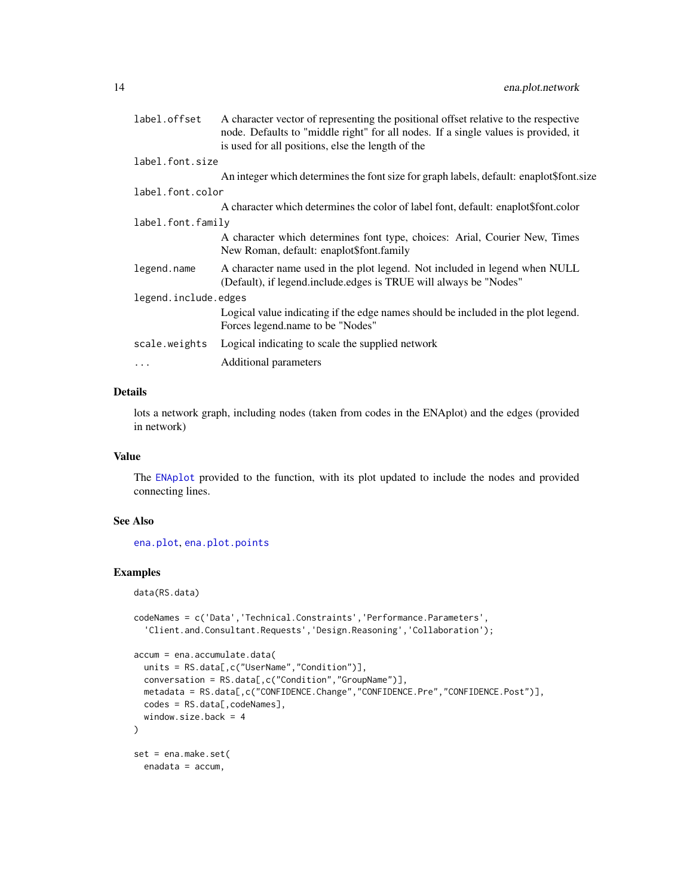<span id="page-13-0"></span>

| label.offset         | A character vector of representing the positional offset relative to the respective<br>node. Defaults to "middle right" for all nodes. If a single values is provided, it<br>is used for all positions, else the length of the |  |
|----------------------|--------------------------------------------------------------------------------------------------------------------------------------------------------------------------------------------------------------------------------|--|
| label.font.size      |                                                                                                                                                                                                                                |  |
|                      | An integer which determines the font size for graph labels, default: enaplot\$font.size                                                                                                                                        |  |
| label.font.color     |                                                                                                                                                                                                                                |  |
|                      | A character which determines the color of label font, default: enaplot\$font.color                                                                                                                                             |  |
| label.font.family    |                                                                                                                                                                                                                                |  |
|                      | A character which determines font type, choices: Arial, Courier New, Times<br>New Roman, default: enaplot\$font.family                                                                                                         |  |
| legend.name          | A character name used in the plot legend. Not included in legend when NULL<br>(Default), if legend.include.edges is TRUE will always be "Nodes"                                                                                |  |
| legend.include.edges |                                                                                                                                                                                                                                |  |
|                      | Logical value indicating if the edge names should be included in the plot legend.<br>Forces legend.name to be "Nodes"                                                                                                          |  |
| scale.weights        | Logical indicating to scale the supplied network                                                                                                                                                                               |  |
| $\cdots$             | Additional parameters                                                                                                                                                                                                          |  |

## Details

lots a network graph, including nodes (taken from codes in the ENAplot) and the edges (provided in network)

#### Value

The [ENAplot](#page-21-1) provided to the function, with its plot updated to include the nodes and provided connecting lines.

#### See Also

[ena.plot](#page-8-1), [ena.plot.points](#page-14-1)

## Examples

```
data(RS.data)
```

```
codeNames = c('Data','Technical.Constraints','Performance.Parameters',
  'Client.and.Consultant.Requests','Design.Reasoning','Collaboration');
accum = ena.accumulate.data(
  units = RS.data[,c("UserName","Condition")],
  conversation = RS.data[,c("Condition","GroupName")],
  metadata = RS.data[,c("CONFIDENCE.Change","CONFIDENCE.Pre","CONFIDENCE.Post")],
  codes = RS.data[, codeNames],
  window.size.back = 4
\mathcal{L}set = ena.make.set(
  enadata = accum,
```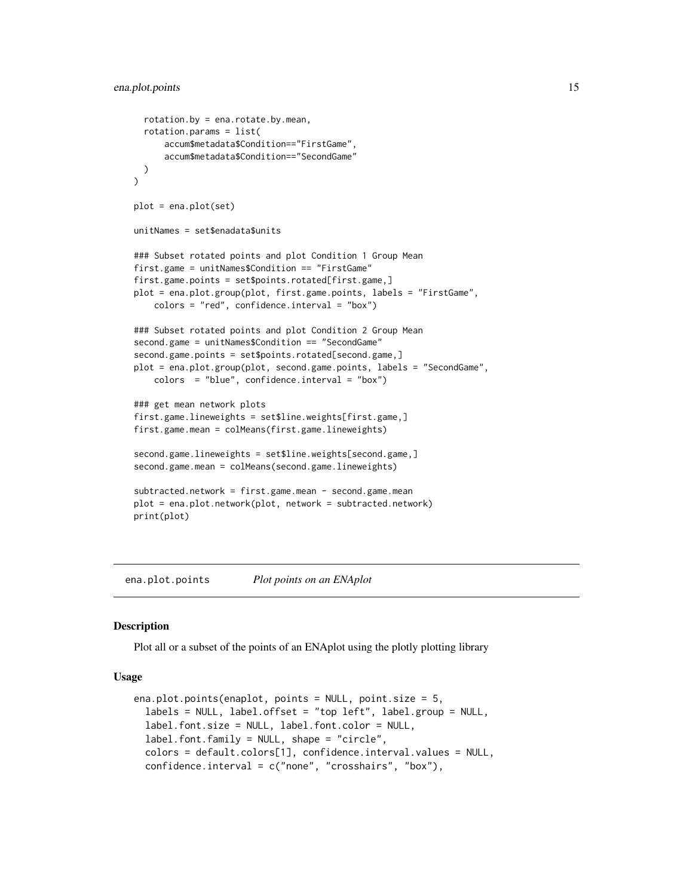```
rotation.by = ena.rotate.by.mean,
 rotation.params = list(
     accum$metadata$Condition=="FirstGame",
     accum$metadata$Condition=="SecondGame"
 )
\lambdaplot = ena.plot(set)
unitNames = set$enadata$units
### Subset rotated points and plot Condition 1 Group Mean
first.game = unitNames$Condition == "FirstGame"
first.game.points = set$points.rotated[first.game,]
plot = ena.plot.group(plot, first.game.points, labels = "FirstGame",
    colors = "red", confidence.interval = "box")
### Subset rotated points and plot Condition 2 Group Mean
second.game = unitNames$Condition == "SecondGame"
second.game.points = set$points.rotated[second.game,]
plot = ena.plot.group(plot, second.game.points, labels = "SecondGame",
    colors = "blue", confidence.interval = "box")
### get mean network plots
first.game.lineweights = set$line.weights[first.game,]
first.game.mean = colMeans(first.game.lineweights)
second.game.lineweights = set$line.weights[second.game,]
second.game.mean = colMeans(second.game.lineweights)
subtracted.network = first.game.mean - second.game.mean
plot = ena.plot.network(plot, network = subtracted.network)
print(plot)
```
<span id="page-14-1"></span>ena.plot.points *Plot points on an ENAplot*

#### Description

Plot all or a subset of the points of an ENAplot using the plotly plotting library

#### Usage

```
ena.plot.points(enaplot, points = NULL, point.size = 5,
  labels = NULL, label.offset = "top left", label.group = NULL,
  label.font.size = NULL, label.font.color = NULL,
  label.font.family = NULL, shape = "circle",
  colors = default.colors[1], confidence.interval.values = NULL,
  confidence.interval = c("none", "crosshairs", "box"),
```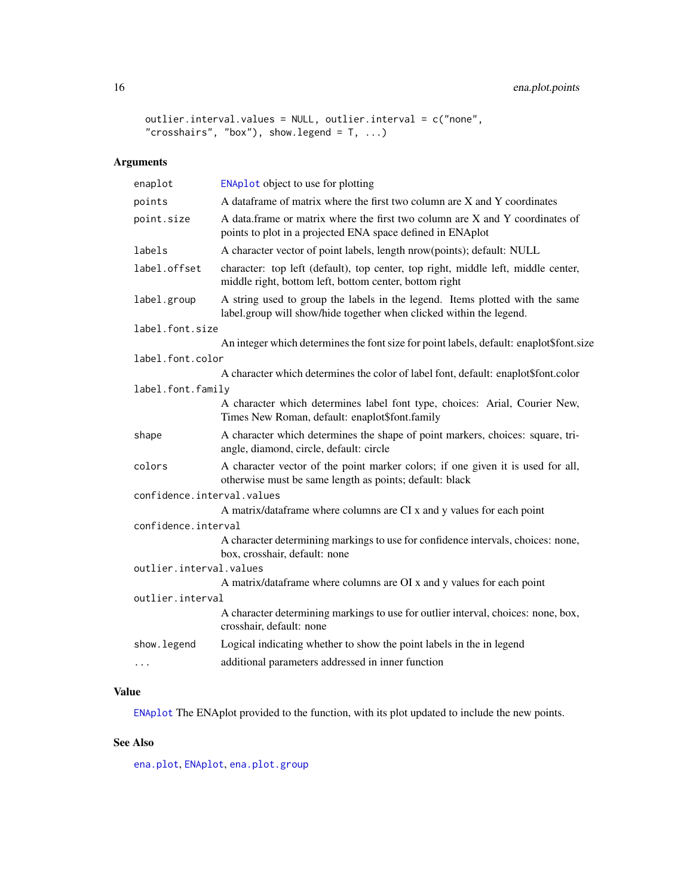## <span id="page-15-0"></span>16 ena.plot.points

```
outlier.interval.values = NULL, outlier.interval = c("none",
"crosshairs", "box"), show.legend = T, ...)
```
## Arguments

| ENAplot object to use for plotting                                                                                                                  |  |
|-----------------------------------------------------------------------------------------------------------------------------------------------------|--|
| A dataframe of matrix where the first two column are X and Y coordinates                                                                            |  |
| A data.frame or matrix where the first two column are X and Y coordinates of<br>points to plot in a projected ENA space defined in ENAplot          |  |
| A character vector of point labels, length nrow(points); default: NULL                                                                              |  |
| character: top left (default), top center, top right, middle left, middle center,<br>middle right, bottom left, bottom center, bottom right         |  |
| A string used to group the labels in the legend. Items plotted with the same<br>label.group will show/hide together when clicked within the legend. |  |
|                                                                                                                                                     |  |
| An integer which determines the font size for point labels, default: enaplot\$font.size                                                             |  |
| label.font.color                                                                                                                                    |  |
| A character which determines the color of label font, default: enaplot\$font.color                                                                  |  |
| label.font.family                                                                                                                                   |  |
| A character which determines label font type, choices: Arial, Courier New,<br>Times New Roman, default: enaplot\$font.family                        |  |
| A character which determines the shape of point markers, choices: square, tri-<br>angle, diamond, circle, default: circle                           |  |
| A character vector of the point marker colors; if one given it is used for all,<br>otherwise must be same length as points; default: black          |  |
| confidence.interval.values                                                                                                                          |  |
| A matrix/dataframe where columns are CI x and y values for each point                                                                               |  |
| confidence.interval                                                                                                                                 |  |
| A character determining markings to use for confidence intervals, choices: none,<br>box, crosshair, default: none                                   |  |
| outlier.interval.values                                                                                                                             |  |
| A matrix/dataframe where columns are OI x and y values for each point                                                                               |  |
| outlier.interval                                                                                                                                    |  |
| A character determining markings to use for outlier interval, choices: none, box,<br>crosshair, default: none                                       |  |
| Logical indicating whether to show the point labels in the in legend                                                                                |  |
| additional parameters addressed in inner function                                                                                                   |  |
|                                                                                                                                                     |  |

## Value

[ENAplot](#page-21-1) The ENAplot provided to the function, with its plot updated to include the new points.

## See Also

[ena.plot](#page-8-1), [ENAplot](#page-21-1), [ena.plot.group](#page-9-1)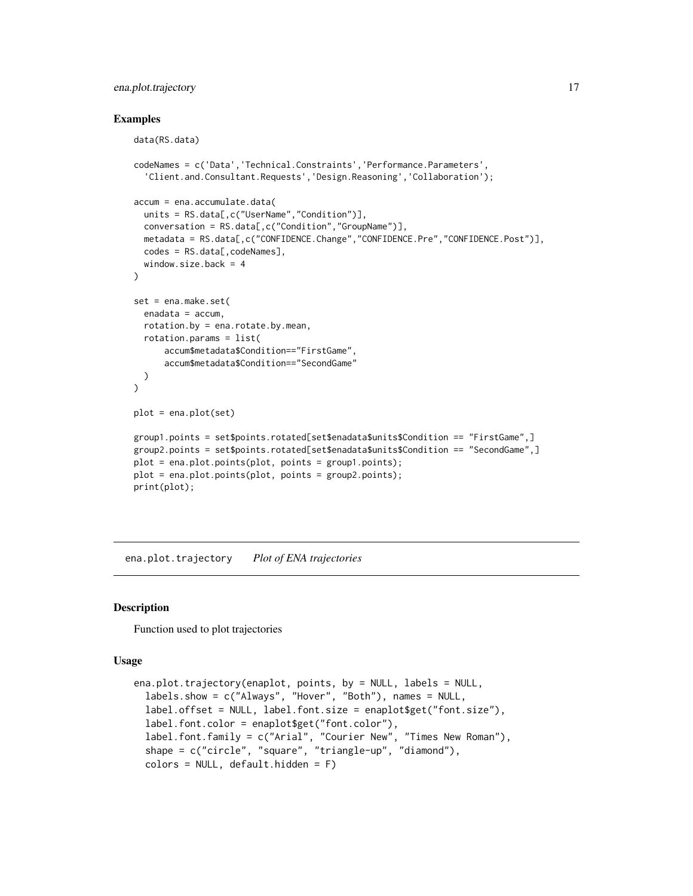## <span id="page-16-0"></span>ena.plot.trajectory 17

#### Examples

```
data(RS.data)
codeNames = c('Data','Technical.Constraints','Performance.Parameters',
  'Client.and.Consultant.Requests','Design.Reasoning','Collaboration');
accum = ena.accumulate.data(
  units = RS.data[,c("UserName","Condition")],
  conversation = RS.data[,c("Condition","GroupName")],
  metadata = RS.data[,c("CONFIDENCE.Change","CONFIDENCE.Pre","CONFIDENCE.Post")],
  codes = RS.data[,codeNames],
  window.size.back = 4\lambdaset = ena.make.set(
  enadata = accum,
  rotation.by = ena.rotate.by.mean,
  rotation.params = list(
      accum$metadata$Condition=="FirstGame",
      accum$metadata$Condition=="SecondGame"
  )
\mathcal{L}plot = ena.plot(set)
group1.points = set$points.rotated[set$enadata$units$Condition == "FirstGame",]
group2.points = set$points.rotated[set$enadata$units$Condition == "SecondGame",]
plot = ena.plot.points(plot, points = group1.points);
plot = ena.plot.points(plot, points = group2.points);
print(plot);
```
ena.plot.trajectory *Plot of ENA trajectories*

#### Description

Function used to plot trajectories

#### Usage

```
ena.plot.trajectory(enaplot, points, by = NULL, labels = NULL,
  labels.show = c("Always", "Hover", "Both"), names = NULL,
  label.offset = NULL, label.font.size = enaplot$get("font.size"),
  label.font.color = enaplot$get("font.color"),
 label.font.family = c("Arial", "Courier New", "Times New Roman"),
  shape = c("circle", "square", "triangle-up", "diamond"),
  colors = NULL, default. hidden = F)
```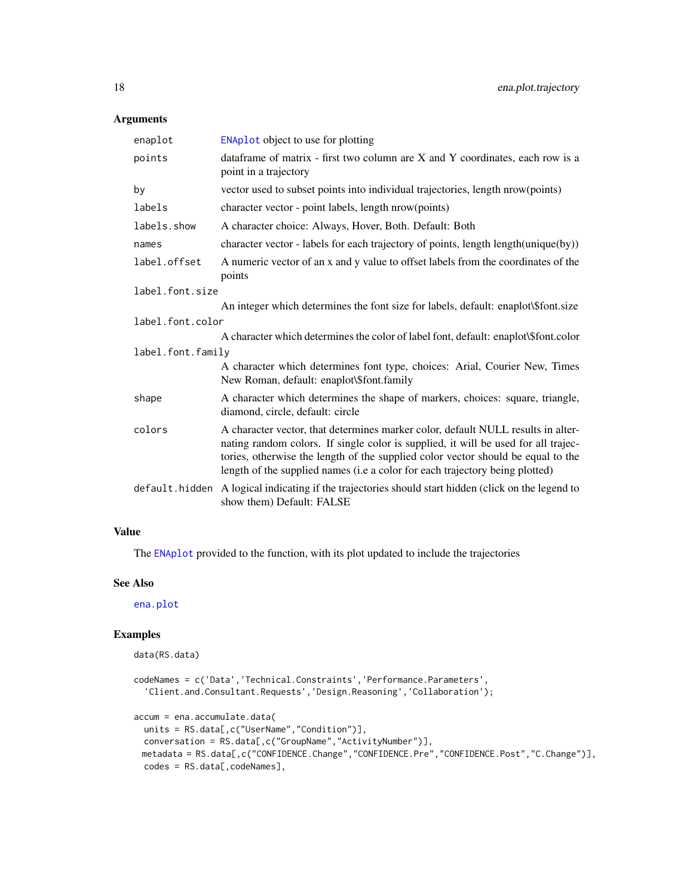## <span id="page-17-0"></span>Arguments

| enaplot           | <b>ENAplot</b> object to use for plotting                                                                                                                                                                                                                                                                                                  |  |
|-------------------|--------------------------------------------------------------------------------------------------------------------------------------------------------------------------------------------------------------------------------------------------------------------------------------------------------------------------------------------|--|
| points            | dataframe of matrix - first two column are X and Y coordinates, each row is a<br>point in a trajectory                                                                                                                                                                                                                                     |  |
| by                | vector used to subset points into individual trajectories, length nrow(points)                                                                                                                                                                                                                                                             |  |
| labels            | character vector - point labels, length nrow(points)                                                                                                                                                                                                                                                                                       |  |
| labels.show       | A character choice: Always, Hover, Both. Default: Both                                                                                                                                                                                                                                                                                     |  |
| names             | character vector - labels for each trajectory of points, length length(unique(by))                                                                                                                                                                                                                                                         |  |
| label.offset      | A numeric vector of an x and y value to offset labels from the coordinates of the<br>points                                                                                                                                                                                                                                                |  |
| label.font.size   |                                                                                                                                                                                                                                                                                                                                            |  |
|                   | An integer which determines the font size for labels, default: enaplot\\$font.size                                                                                                                                                                                                                                                         |  |
| label.font.color  |                                                                                                                                                                                                                                                                                                                                            |  |
|                   | A character which determines the color of label font, default: enaplot\\$font.color                                                                                                                                                                                                                                                        |  |
| label.font.family |                                                                                                                                                                                                                                                                                                                                            |  |
|                   | A character which determines font type, choices: Arial, Courier New, Times<br>New Roman, default: enaplot\\$font.family                                                                                                                                                                                                                    |  |
| shape             | A character which determines the shape of markers, choices: square, triangle,<br>diamond, circle, default: circle                                                                                                                                                                                                                          |  |
| colors            | A character vector, that determines marker color, default NULL results in alter-<br>nating random colors. If single color is supplied, it will be used for all trajec-<br>tories, otherwise the length of the supplied color vector should be equal to the<br>length of the supplied names (i.e a color for each trajectory being plotted) |  |
| default.hidden    | A logical indicating if the trajectories should start hidden (click on the legend to<br>show them) Default: FALSE                                                                                                                                                                                                                          |  |

## Value

The [ENAplot](#page-21-1) provided to the function, with its plot updated to include the trajectories

## See Also

[ena.plot](#page-8-1)

## Examples

```
data(RS.data)
codeNames = c('Data','Technical.Constraints','Performance.Parameters',
  'Client.and.Consultant.Requests','Design.Reasoning','Collaboration');
accum = ena.accumulate.data(
  units = RS.data[,c("UserName","Condition")],
  conversation = RS.data[,c("GroupName","ActivityNumber")],
 metadata = RS.data[,c("CONFIDENCE.Change","CONFIDENCE.Pre","CONFIDENCE.Post","C.Change")],
 codes = RS.data[, codeNames],
```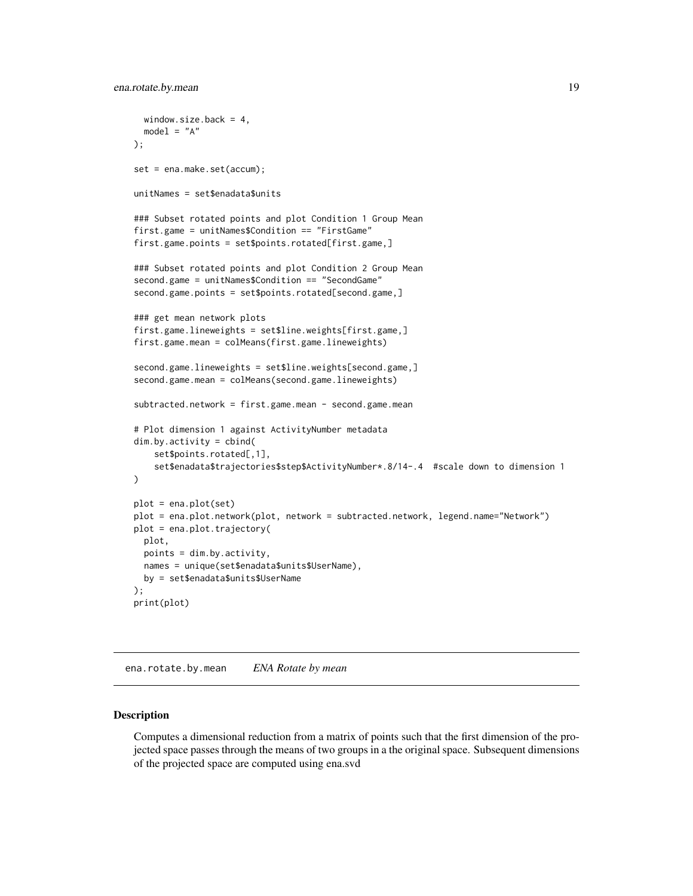```
window.size.back = 4,
  model = "A");
set = ena.make.set(accum);
unitNames = set$enadata$units
### Subset rotated points and plot Condition 1 Group Mean
first.game = unitNames$Condition == "FirstGame"
first.game.points = set$points.rotated[first.game,]
### Subset rotated points and plot Condition 2 Group Mean
second.game = unitNames$Condition == "SecondGame"
second.game.points = set$points.rotated[second.game,]
### get mean network plots
first.game.lineweights = set$line.weights[first.game,]
first.game.mean = colMeans(first.game.lineweights)
second.game.lineweights = set$line.weights[second.game,]
second.game.mean = colMeans(second.game.lineweights)
subtracted.network = first.game.mean - second.game.mean
# Plot dimension 1 against ActivityNumber metadata
dim.by.activity = cbind(
    set$points.rotated[,1],
    set$enadata$trajectories$step$ActivityNumber*.8/14-.4 #scale down to dimension 1
\mathcal{L}plot = ena.plot(set)
plot = ena.plot.network(plot, network = subtracted.network, legend.name="Network")
plot = ena.plot.trajectory(
  plot,
  points = dim.by.activity,
  names = unique(set$enadata$units$UserName),
  by = set$enadata$units$UserName
);
print(plot)
```
ena.rotate.by.mean *ENA Rotate by mean*

#### Description

Computes a dimensional reduction from a matrix of points such that the first dimension of the projected space passes through the means of two groups in a the original space. Subsequent dimensions of the projected space are computed using ena.svd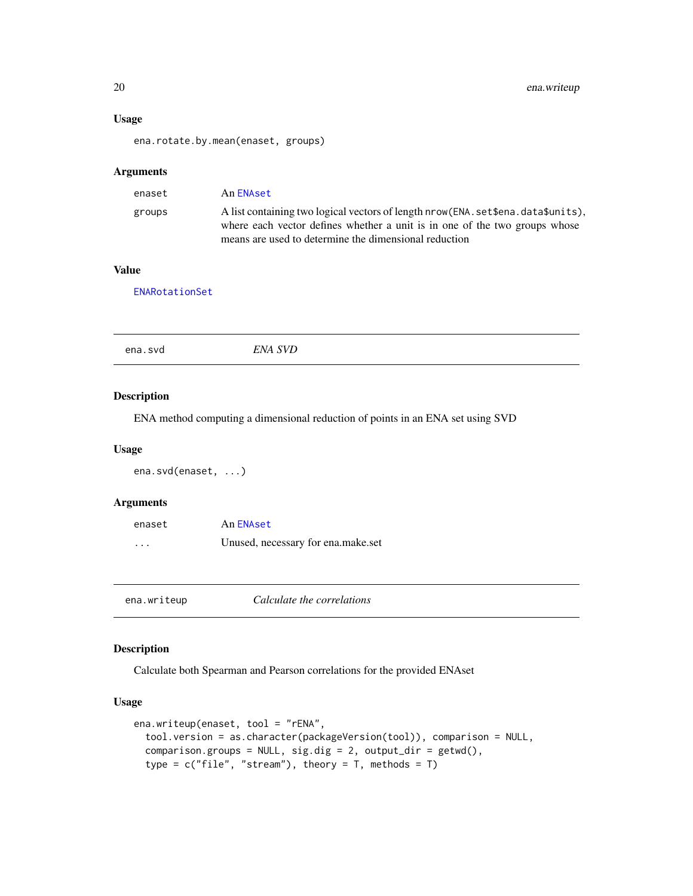## Usage

ena.rotate.by.mean(enaset, groups)

#### Arguments

| enaset | An ENAset                                                                                                                                                                                                                  |
|--------|----------------------------------------------------------------------------------------------------------------------------------------------------------------------------------------------------------------------------|
| groups | A list containing two logical vectors of length nrow (ENA. set \$ena. data\$units),<br>where each vector defines whether a unit is in one of the two groups whose<br>means are used to determine the dimensional reduction |

## Value

[ENARotationSet](#page-21-2)

|--|

## Description

ENA method computing a dimensional reduction of points in an ENA set using SVD

#### Usage

```
ena.svd(enaset, ...)
```
## Arguments

| enaset                  | An ENAset                          |
|-------------------------|------------------------------------|
| $\cdot$ $\cdot$ $\cdot$ | Unused, necessary for ena.make.set |

ena.writeup *Calculate the correlations*

#### Description

Calculate both Spearman and Pearson correlations for the provided ENAset

## Usage

```
ena.writeup(enaset, tool = "rENA",
  tool.version = as.character(packageVersion(tool)), comparison = NULL,
  comparison.groups = NULL, sig.dig = 2, output-dir = getwd(),type = c("file", "stream"), theory = T, methods = T)
```
<span id="page-19-0"></span>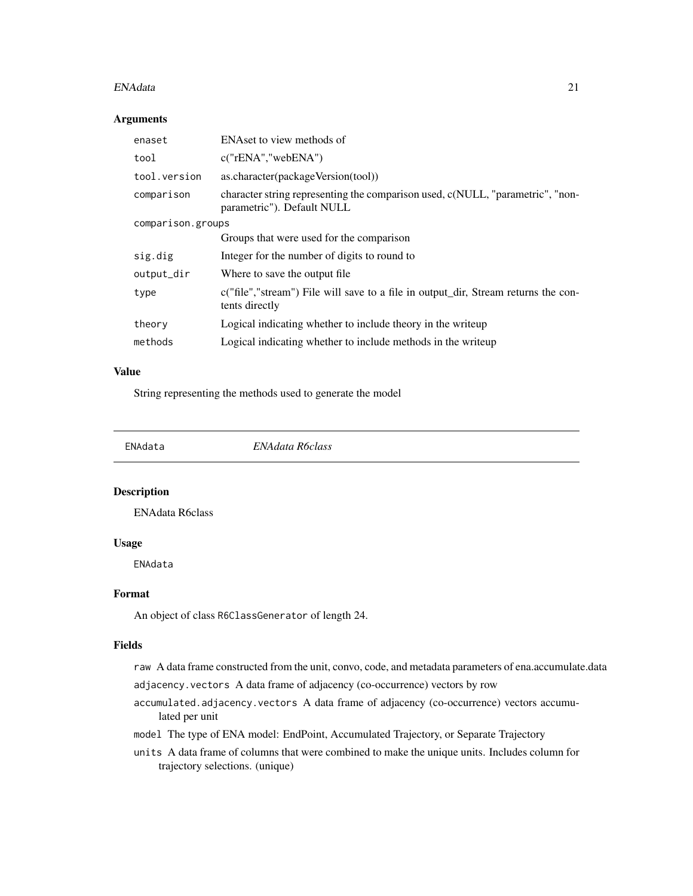#### <span id="page-20-0"></span>ENAdata 21

#### Arguments

| enaset            | ENAset to view methods of                                                                                    |  |
|-------------------|--------------------------------------------------------------------------------------------------------------|--|
| tool              | c("rENA", "webENA")                                                                                          |  |
| tool.version      | as.character(packageVersion(tool))                                                                           |  |
| comparison        | character string representing the comparison used, c(NULL, "parametric", "non-<br>parametric"). Default NULL |  |
| comparison.groups |                                                                                                              |  |
|                   | Groups that were used for the comparison                                                                     |  |
| sig.dig           | Integer for the number of digits to round to                                                                 |  |
| output_dir        | Where to save the output file.                                                                               |  |
| type              | c("file","stream") File will save to a file in output_dir, Stream returns the con-<br>tents directly         |  |
| theory            | Logical indicating whether to include theory in the writeup                                                  |  |
| methods           | Logical indicating whether to include methods in the writeup                                                 |  |

#### Value

String representing the methods used to generate the model

<span id="page-20-1"></span>

ENAdata *ENAdata R6class*

## Description

ENAdata R6class

#### Usage

ENAdata

#### Format

An object of class R6ClassGenerator of length 24.

#### Fields

raw A data frame constructed from the unit, convo, code, and metadata parameters of ena.accumulate.data

- adjacency.vectors A data frame of adjacency (co-occurrence) vectors by row
- accumulated.adjacency.vectors A data frame of adjacency (co-occurrence) vectors accumulated per unit
- model The type of ENA model: EndPoint, Accumulated Trajectory, or Separate Trajectory
- units A data frame of columns that were combined to make the unique units. Includes column for trajectory selections. (unique)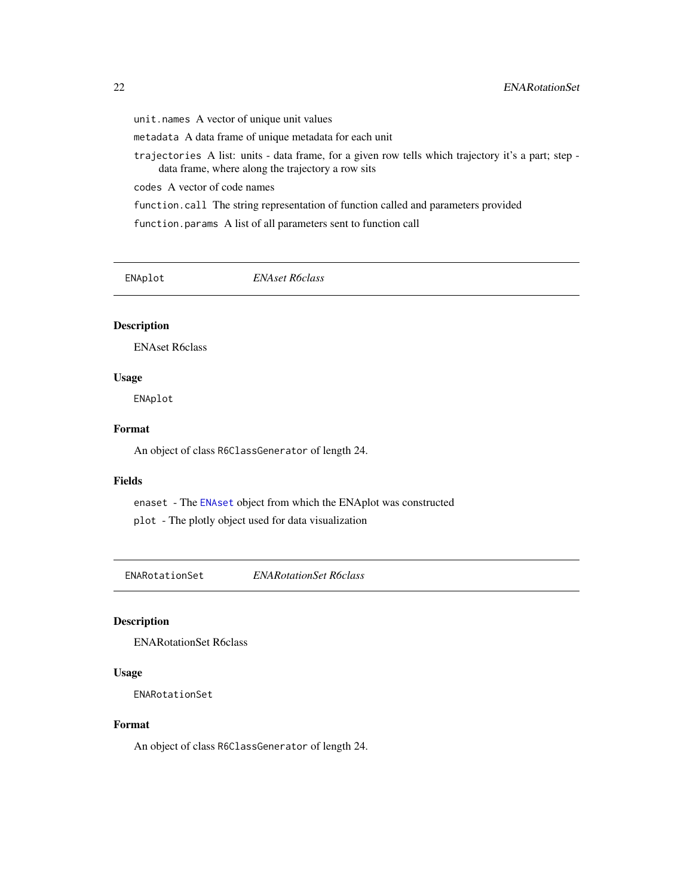<span id="page-21-0"></span>unit.names A vector of unique unit values

metadata A data frame of unique metadata for each unit

trajectories A list: units - data frame, for a given row tells which trajectory it's a part; step data frame, where along the trajectory a row sits

codes A vector of code names

function.call The string representation of function called and parameters provided

function.params A list of all parameters sent to function call

<span id="page-21-1"></span>ENAplot *ENAset R6class*

## Description

ENAset R6class

#### Usage

ENAplot

## Format

An object of class R6ClassGenerator of length 24.

#### Fields

enaset - The [ENAset](#page-22-1) object from which the ENAplot was constructed

plot - The plotly object used for data visualization

<span id="page-21-2"></span>ENARotationSet *ENARotationSet R6class*

#### Description

ENARotationSet R6class

## Usage

ENARotationSet

#### Format

An object of class R6ClassGenerator of length 24.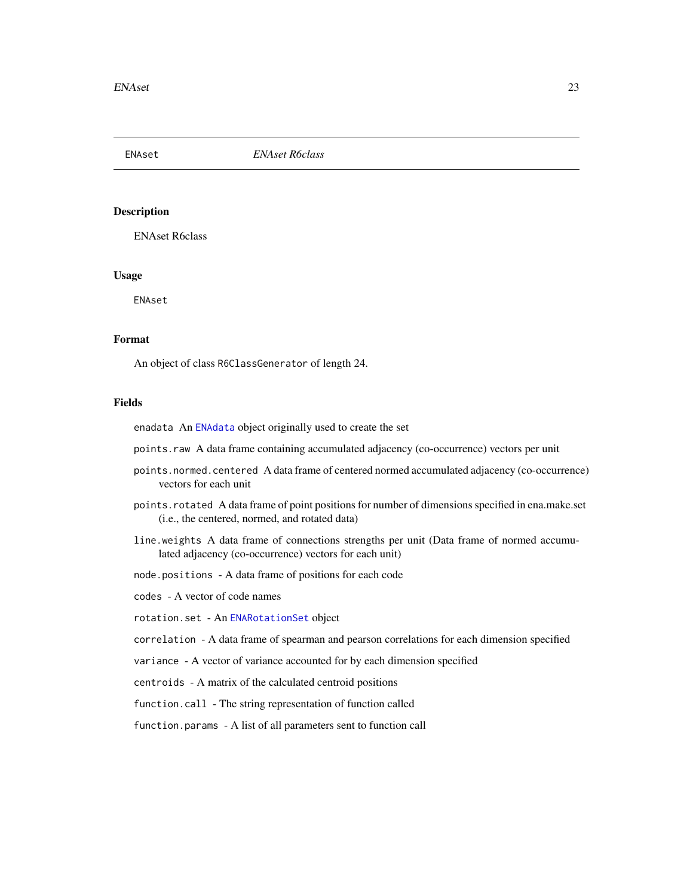<span id="page-22-1"></span><span id="page-22-0"></span>ENAset *ENAset R6class*

#### Description

ENAset R6class

#### Usage

ENAset

## Format

An object of class R6ClassGenerator of length 24.

#### Fields

enadata An [ENAdata](#page-20-1) object originally used to create the set

points.raw A data frame containing accumulated adjacency (co-occurrence) vectors per unit

- points.normed.centered A data frame of centered normed accumulated adjacency (co-occurrence) vectors for each unit
- points.rotated A data frame of point positions for number of dimensions specified in ena.make.set (i.e., the centered, normed, and rotated data)
- line.weights A data frame of connections strengths per unit (Data frame of normed accumulated adjacency (co-occurrence) vectors for each unit)

node.positions - A data frame of positions for each code

codes - A vector of code names

rotation.set - An [ENARotationSet](#page-21-2) object

correlation - A data frame of spearman and pearson correlations for each dimension specified

variance - A vector of variance accounted for by each dimension specified

centroids - A matrix of the calculated centroid positions

function.call - The string representation of function called

function.params - A list of all parameters sent to function call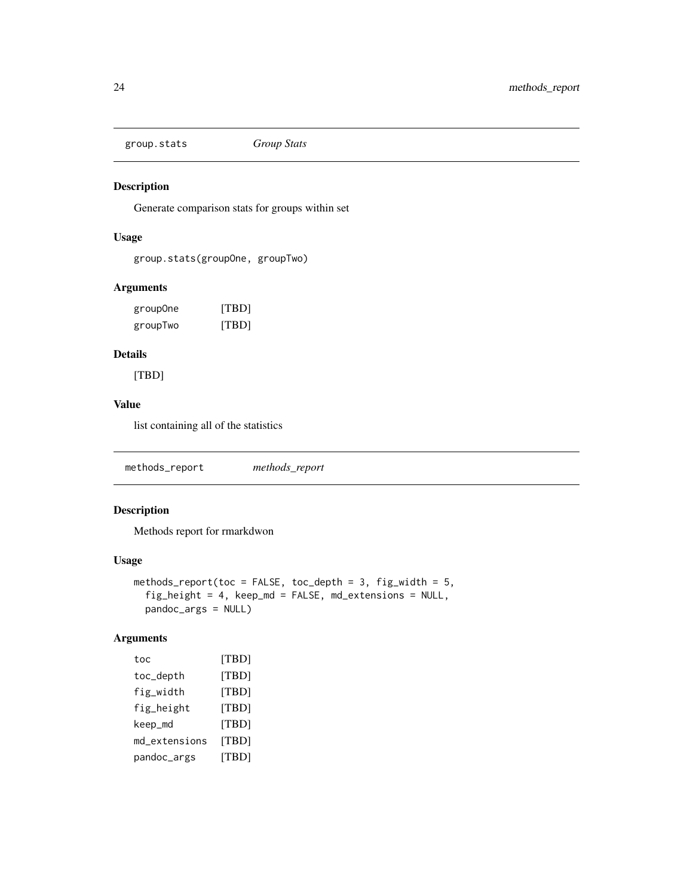<span id="page-23-0"></span>group.stats *Group Stats*

## Description

Generate comparison stats for groups within set

## Usage

```
group.stats(groupOne, groupTwo)
```
#### Arguments

| group0ne | [TBD] |
|----------|-------|
| groupTwo | [TBD] |

## Details

[TBD]

## Value

list containing all of the statistics

methods\_report *methods\_report*

## Description

Methods report for rmarkdwon

## Usage

```
methods_report(toc = FALSE, toc_depth = 3, fig_width = 5,
  fig_height = 4, keep_md = FALSE, md_extensions = NULL,
 pandoc_args = NULL)
```
## Arguments

| [TBD] |
|-------|
| [TBD] |
| [TBD] |
| [TBD] |
| [TBD] |
| [TBD] |
| ITBDI |
|       |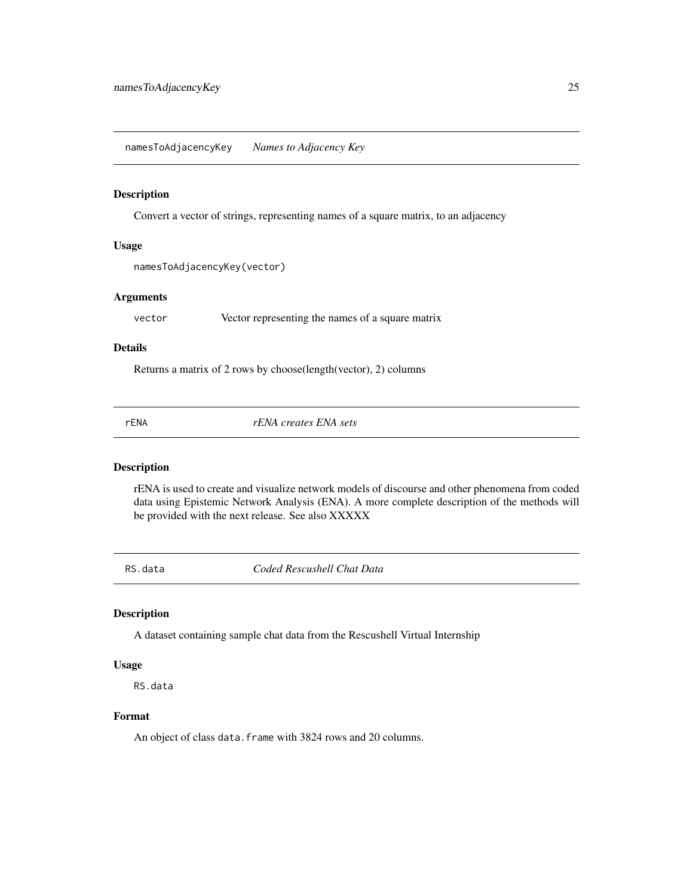<span id="page-24-0"></span>namesToAdjacencyKey *Names to Adjacency Key*

#### Description

Convert a vector of strings, representing names of a square matrix, to an adjacency

#### Usage

```
namesToAdjacencyKey(vector)
```
## Arguments

vector Vector representing the names of a square matrix

#### Details

Returns a matrix of 2 rows by choose(length(vector), 2) columns

rENA *rENA creates ENA sets*

## Description

rENA is used to create and visualize network models of discourse and other phenomena from coded data using Epistemic Network Analysis (ENA). A more complete description of the methods will be provided with the next release. See also XXXXX

RS.data *Coded Rescushell Chat Data*

#### Description

A dataset containing sample chat data from the Rescushell Virtual Internship

## Usage

RS.data

## Format

An object of class data. frame with 3824 rows and 20 columns.